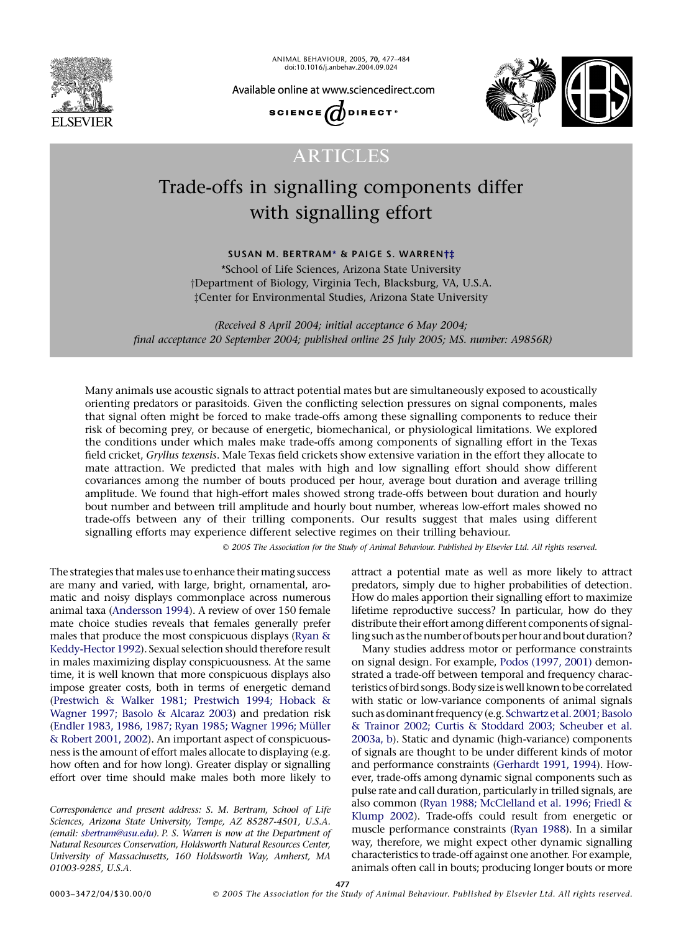

ANIMAL BEHAVIOUR, 2005, 70, 477–484 doi:10.1016/j.anbehav.2004.09.024





# ARTICLES

# Trade-offs in signalling components differ with signalling effort

SUSAN M. BERTRAM\* & PAIGE S. WARREN†‡

\*School of Life Sciences, Arizona State University <sup>†</sup>Department of Biology, Virginia Tech, Blacksburg, VA, U.S.A. zCenter for Environmental Studies, Arizona State University

(Received 8 April 2004; initial acceptance 6 May 2004; final acceptance 20 September 2004; published online 25 July 2005; MS. number: A9856R)

Many animals use acoustic signals to attract potential mates but are simultaneously exposed to acoustically orienting predators or parasitoids. Given the conflicting selection pressures on signal components, males that signal often might be forced to make trade-offs among these signalling components to reduce their risk of becoming prey, or because of energetic, biomechanical, or physiological limitations. We explored the conditions under which males make trade-offs among components of signalling effort in the Texas field cricket, Gryllus texensis. Male Texas field crickets show extensive variation in the effort they allocate to mate attraction. We predicted that males with high and low signalling effort should show different covariances among the number of bouts produced per hour, average bout duration and average trilling amplitude. We found that high-effort males showed strong trade-offs between bout duration and hourly bout number and between trill amplitude and hourly bout number, whereas low-effort males showed no trade-offs between any of their trilling components. Our results suggest that males using different signalling efforts may experience different selective regimes on their trilling behaviour.

2005 The Association for the Study of Animal Behaviour. Published by Elsevier Ltd. All rights reserved.

The strategies that males use to enhance their mating success are many and varied, with large, bright, ornamental, aromatic and noisy displays commonplace across numerous animal taxa ([Andersson 1994\)](#page-6-0). A review of over 150 female mate choice studies reveals that females generally prefer males that produce the most conspicuous displays [\(Ryan &](#page-7-0) [Keddy-Hector 1992\)](#page-7-0). Sexual selection should therefore result in males maximizing display conspicuousness. At the same time, it is well known that more conspicuous displays also impose greater costs, both in terms of energetic demand ([Prestwich & Walker 1981; Prestwich 1994; Hoback &](#page-7-0) [Wagner 1997; Basolo & Alcaraz 2003](#page-7-0)) and predation risk (Endler 1983, 1986, 1987; Ryan 1985; Wagner 1996; Müller [& Robert 2001, 2002\)](#page-7-0). An important aspect of conspicuousness is the amount of effort males allocate to displaying (e.g. how often and for how long). Greater display or signalling effort over time should make males both more likely to

Correspondence and present address: S. M. Bertram, School of Life Sciences, Arizona State University, Tempe, AZ 85287-4501, U.S.A. (email: [sbertram@asu.edu\)](mailto:sbertram@asu.edu). P. S. Warren is now at the Department of Natural Resources Conservation, Holdsworth Natural Resources Center, University of Massachusetts, 160 Holdsworth Way, Amherst, MA 01003-9285, U.S.A.

attract a potential mate as well as more likely to attract predators, simply due to higher probabilities of detection. How do males apportion their signalling effort to maximize lifetime reproductive success? In particular, how do they distribute their effort among different components of signalling such as the number of bouts per hour and bout duration?

Many studies address motor or performance constraints on signal design. For example, [Podos \(1997, 2001\)](#page-7-0) demonstrated a trade-off between temporal and frequency characteristics of bird songs. Body size is well known to be correlated with static or low-variance components of animal signals such as dominant frequency (e.g. [Schwartz et al. 2001; Basolo](#page-7-0) [& Trainor 2002; Curtis & Stoddard 2003; Scheuber et al.](#page-7-0) [2003a, b](#page-7-0)). Static and dynamic (high-variance) components of signals are thought to be under different kinds of motor and performance constraints [\(Gerhardt 1991, 1994](#page-7-0)). However, trade-offs among dynamic signal components such as pulse rate and call duration, particularly in trilled signals, are also common ([Ryan 1988; McClelland et al. 1996; Friedl &](#page-7-0) [Klump 2002](#page-7-0)). Trade-offs could result from energetic or muscle performance constraints ([Ryan 1988\)](#page-7-0). In a similar way, therefore, we might expect other dynamic signalling characteristics to trade-off against one another. For example, animals often call in bouts; producing longer bouts or more

477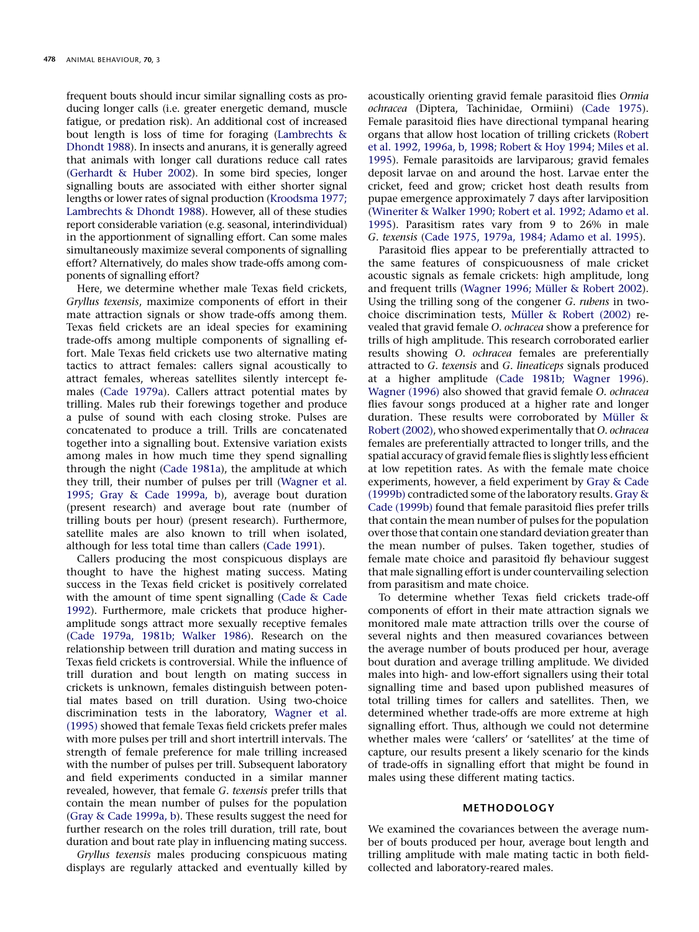frequent bouts should incur similar signalling costs as producing longer calls (i.e. greater energetic demand, muscle fatigue, or predation risk). An additional cost of increased bout length is loss of time for foraging [\(Lambrechts &](#page-7-0) [Dhondt 1988](#page-7-0)). In insects and anurans, it is generally agreed that animals with longer call durations reduce call rates ([Gerhardt & Huber 2002](#page-7-0)). In some bird species, longer signalling bouts are associated with either shorter signal lengths or lower rates of signal production [\(Kroodsma 1977;](#page-7-0) [Lambrechts & Dhondt 1988\)](#page-7-0). However, all of these studies report considerable variation (e.g. seasonal, interindividual) in the apportionment of signalling effort. Can some males simultaneously maximize several components of signalling effort? Alternatively, do males show trade-offs among components of signalling effort?

Here, we determine whether male Texas field crickets, Gryllus texensis, maximize components of effort in their mate attraction signals or show trade-offs among them. Texas field crickets are an ideal species for examining trade-offs among multiple components of signalling effort. Male Texas field crickets use two alternative mating tactics to attract females: callers signal acoustically to attract females, whereas satellites silently intercept females [\(Cade 1979a](#page-6-0)). Callers attract potential mates by trilling. Males rub their forewings together and produce a pulse of sound with each closing stroke. Pulses are concatenated to produce a trill. Trills are concatenated together into a signalling bout. Extensive variation exists among males in how much time they spend signalling through the night [\(Cade 1981a](#page-6-0)), the amplitude at which they trill, their number of pulses per trill [\(Wagner et al.](#page-7-0) [1995; Gray & Cade 1999a, b\)](#page-7-0), average bout duration (present research) and average bout rate (number of trilling bouts per hour) (present research). Furthermore, satellite males are also known to trill when isolated, although for less total time than callers [\(Cade 1991\)](#page-7-0).

Callers producing the most conspicuous displays are thought to have the highest mating success. Mating success in the Texas field cricket is positively correlated with the amount of time spent signalling ([Cade & Cade](#page-7-0) [1992](#page-7-0)). Furthermore, male crickets that produce higheramplitude songs attract more sexually receptive females ([Cade 1979a, 1981b; Walker 1986\)](#page-6-0). Research on the relationship between trill duration and mating success in Texas field crickets is controversial. While the influence of trill duration and bout length on mating success in crickets is unknown, females distinguish between potential mates based on trill duration. Using two-choice discrimination tests in the laboratory, [Wagner et al.](#page-7-0) [\(1995\)](#page-7-0) showed that female Texas field crickets prefer males with more pulses per trill and short intertrill intervals. The strength of female preference for male trilling increased with the number of pulses per trill. Subsequent laboratory and field experiments conducted in a similar manner revealed, however, that female G. texensis prefer trills that contain the mean number of pulses for the population ([Gray & Cade 1999a, b](#page-7-0)). These results suggest the need for further research on the roles trill duration, trill rate, bout duration and bout rate play in influencing mating success.

Gryllus texensis males producing conspicuous mating displays are regularly attacked and eventually killed by acoustically orienting gravid female parasitoid flies Ormia ochracea (Diptera, Tachinidae, Ormiini) ([Cade 1975](#page-6-0)). Female parasitoid flies have directional tympanal hearing organs that allow host location of trilling crickets ([Robert](#page-7-0) [et al. 1992, 1996a, b, 1998; Robert & Hoy 1994; Miles et al.](#page-7-0) [1995](#page-7-0)). Female parasitoids are larviparous; gravid females deposit larvae on and around the host. Larvae enter the cricket, feed and grow; cricket host death results from pupae emergence approximately 7 days after larviposition ([Wineriter & Walker 1990; Robert et al. 1992; Adamo et al.](#page-7-0) [1995](#page-7-0)). Parasitism rates vary from 9 to 26% in male G. texensis ([Cade 1975, 1979a, 1984; Adamo et al. 1995\)](#page-6-0).

Parasitoid flies appear to be preferentially attracted to the same features of conspicuousness of male cricket acoustic signals as female crickets: high amplitude, long and frequent trills (Wagner 1996; Müller & Robert 2002). Using the trilling song of the congener G. rubens in twochoice discrimination tests, Müller & Robert (2002) revealed that gravid female O. ochracea show a preference for trills of high amplitude. This research corroborated earlier results showing O. ochracea females are preferentially attracted to G. texensis and G. lineaticeps signals produced at a higher amplitude [\(Cade 1981b; Wagner 1996](#page-6-0)). [Wagner \(1996\)](#page-7-0) also showed that gravid female O. ochracea flies favour songs produced at a higher rate and longer duration. These results were corroborated by Müller & [Robert \(2002\)](#page-7-0), who showed experimentally that O. ochracea females are preferentially attracted to longer trills, and the spatial accuracy of gravid female flies is slightly less efficient at low repetition rates. As with the female mate choice experiments, however, a field experiment by [Gray & Cade](#page-7-0) [\(1999b\)](#page-7-0) contradicted some of the laboratory results. [Gray &](#page-7-0) [Cade \(1999b\)](#page-7-0) found that female parasitoid flies prefer trills that contain the mean number of pulses for the population over those that contain one standard deviation greater than the mean number of pulses. Taken together, studies of female mate choice and parasitoid fly behaviour suggest that male signalling effort is under countervailing selection from parasitism and mate choice.

To determine whether Texas field crickets trade-off components of effort in their mate attraction signals we monitored male mate attraction trills over the course of several nights and then measured covariances between the average number of bouts produced per hour, average bout duration and average trilling amplitude. We divided males into high- and low-effort signallers using their total signalling time and based upon published measures of total trilling times for callers and satellites. Then, we determined whether trade-offs are more extreme at high signalling effort. Thus, although we could not determine whether males were 'callers' or 'satellites' at the time of capture, our results present a likely scenario for the kinds of trade-offs in signalling effort that might be found in males using these different mating tactics.

#### METHODOLOGY

We examined the covariances between the average number of bouts produced per hour, average bout length and trilling amplitude with male mating tactic in both fieldcollected and laboratory-reared males.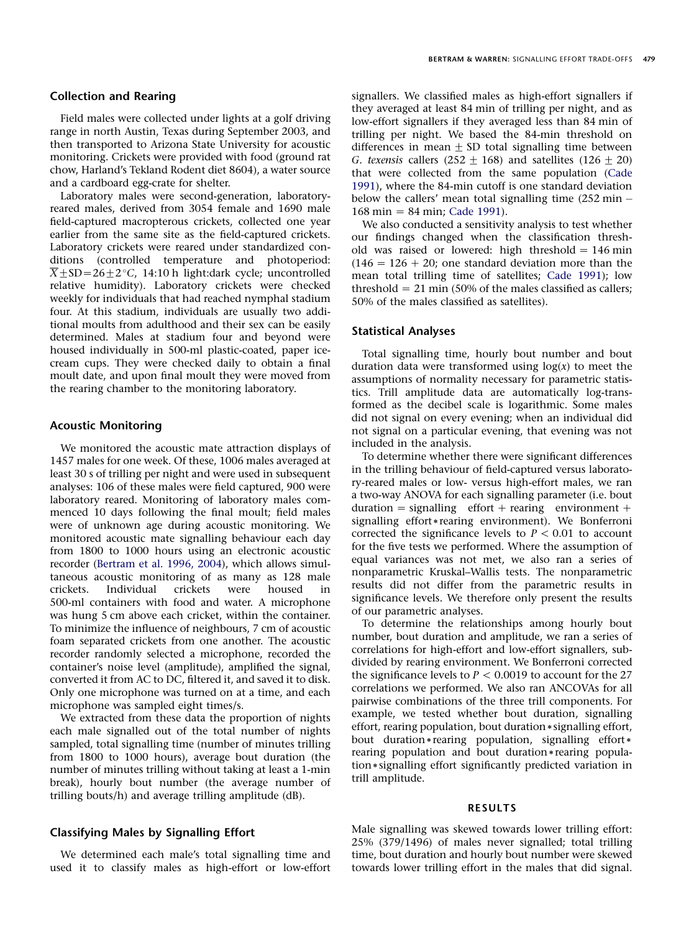## Collection and Rearing

Field males were collected under lights at a golf driving range in north Austin, Texas during September 2003, and then transported to Arizona State University for acoustic monitoring. Crickets were provided with food (ground rat chow, Harland's Tekland Rodent diet 8604), a water source and a cardboard egg-crate for shelter.

Laboratory males were second-generation, laboratoryreared males, derived from 3054 female and 1690 male field-captured macropterous crickets, collected one year earlier from the same site as the field-captured crickets. Laboratory crickets were reared under standardized conditions (controlled temperature and photoperiod:  $\overline{X}$ +SD=26+2°C, 14:10 h light:dark cycle; uncontrolled relative humidity). Laboratory crickets were checked weekly for individuals that had reached nymphal stadium four. At this stadium, individuals are usually two additional moults from adulthood and their sex can be easily determined. Males at stadium four and beyond were housed individually in 500-ml plastic-coated, paper icecream cups. They were checked daily to obtain a final moult date, and upon final moult they were moved from the rearing chamber to the monitoring laboratory.

### Acoustic Monitoring

We monitored the acoustic mate attraction displays of 1457 males for one week. Of these, 1006 males averaged at least 30 s of trilling per night and were used in subsequent analyses: 106 of these males were field captured, 900 were laboratory reared. Monitoring of laboratory males commenced 10 days following the final moult; field males were of unknown age during acoustic monitoring. We monitored acoustic mate signalling behaviour each day from 1800 to 1000 hours using an electronic acoustic recorder [\(Bertram et al. 1996, 2004\)](#page-6-0), which allows simultaneous acoustic monitoring of as many as 128 male crickets. Individual crickets were housed in 500-ml containers with food and water. A microphone was hung 5 cm above each cricket, within the container. To minimize the influence of neighbours, 7 cm of acoustic foam separated crickets from one another. The acoustic recorder randomly selected a microphone, recorded the container's noise level (amplitude), amplified the signal, converted it from AC to DC, filtered it, and saved it to disk. Only one microphone was turned on at a time, and each microphone was sampled eight times/s.

We extracted from these data the proportion of nights each male signalled out of the total number of nights sampled, total signalling time (number of minutes trilling from 1800 to 1000 hours), average bout duration (the number of minutes trilling without taking at least a 1-min break), hourly bout number (the average number of trilling bouts/h) and average trilling amplitude (dB).

## Classifying Males by Signalling Effort

We determined each male's total signalling time and used it to classify males as high-effort or low-effort signallers. We classified males as high-effort signallers if they averaged at least 84 min of trilling per night, and as low-effort signallers if they averaged less than 84 min of trilling per night. We based the 84-min threshold on differences in mean  $\pm$  SD total signalling time between G. texensis callers (252  $\pm$  168) and satellites (126  $\pm$  20) that were collected from the same population ([Cade](#page-7-0) [1991](#page-7-0)), where the 84-min cutoff is one standard deviation below the callers' mean total signalling time (252 min –  $168 \text{ min} = 84 \text{ min}$ ; [Cade 1991](#page-7-0)).

We also conducted a sensitivity analysis to test whether our findings changed when the classification threshold was raised or lowered: high threshold  $= 146$  min  $(146 = 126 + 20)$ ; one standard deviation more than the mean total trilling time of satellites; [Cade 1991\)](#page-7-0); low threshold  $= 21$  min (50% of the males classified as callers; 50% of the males classified as satellites).

#### Statistical Analyses

Total signalling time, hourly bout number and bout duration data were transformed using  $log(x)$  to meet the assumptions of normality necessary for parametric statistics. Trill amplitude data are automatically log-transformed as the decibel scale is logarithmic. Some males did not signal on every evening; when an individual did not signal on a particular evening, that evening was not included in the analysis.

To determine whether there were significant differences in the trilling behaviour of field-captured versus laboratory-reared males or low- versus high-effort males, we ran a two-way ANOVA for each signalling parameter (i.e. bout  $duration = signalling$  effort + rearing environment + signalling effort\*rearing environment). We Bonferroni corrected the significance levels to  $P < 0.01$  to account for the five tests we performed. Where the assumption of equal variances was not met, we also ran a series of nonparametric Kruskal–Wallis tests. The nonparametric results did not differ from the parametric results in significance levels. We therefore only present the results of our parametric analyses.

To determine the relationships among hourly bout number, bout duration and amplitude, we ran a series of correlations for high-effort and low-effort signallers, subdivided by rearing environment. We Bonferroni corrected the significance levels to  $P < 0.0019$  to account for the 27 correlations we performed. We also ran ANCOVAs for all pairwise combinations of the three trill components. For example, we tested whether bout duration, signalling effort, rearing population, bout duration \* signalling effort, bout duration \* rearing population, signalling effort \* rearing population and bout duration \* rearing population \* signalling effort significantly predicted variation in trill amplitude.

#### RESULTS

Male signalling was skewed towards lower trilling effort: 25% (379/1496) of males never signalled; total trilling time, bout duration and hourly bout number were skewed towards lower trilling effort in the males that did signal.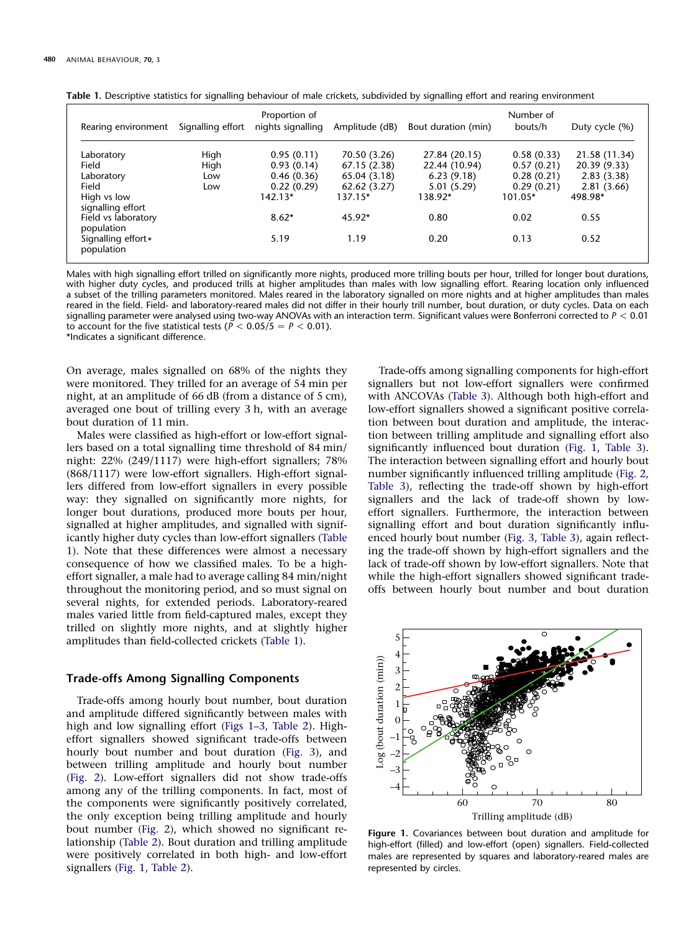| Rearing environment                                                                                                                                     | Signalling effort          | Proportion of<br>nights signalling                                                   | Amplitude (dB)                                                                             | Bout duration (min)                                                                   | Number of<br>bouts/h                                                            | Duty cycle (%)                                                                       |
|---------------------------------------------------------------------------------------------------------------------------------------------------------|----------------------------|--------------------------------------------------------------------------------------|--------------------------------------------------------------------------------------------|---------------------------------------------------------------------------------------|---------------------------------------------------------------------------------|--------------------------------------------------------------------------------------|
| Laboratory<br>Field<br>Laboratory<br>Field<br>High vs low<br>signalling effort<br>Field vs laboratory<br>population<br>Signalling effort*<br>population | High<br>High<br>Low<br>Low | 0.95(0.11)<br>0.93(0.14)<br>0.46(0.36)<br>0.22(0.29)<br>$142.13*$<br>$8.62*$<br>5.19 | 70.50 (3.26)<br>67.15 (2.38)<br>65.04 (3.18)<br>62.62(3.27)<br>137.15*<br>$45.92*$<br>1.19 | 27.84 (20.15)<br>22.44 (10.94)<br>6.23(9.18)<br>5.01(5.29)<br>138.92*<br>0.80<br>0.20 | 0.58(0.33)<br>0.57(0.21)<br>0.28(0.21)<br>0.29(0.21)<br>101.05*<br>0.02<br>0.13 | 21.58 (11.34)<br>20.39 (9.33)<br>2.83(3.38)<br>2.81(3.66)<br>498.98*<br>0.55<br>0.52 |

<span id="page-3-0"></span>Table 1. Descriptive statistics for signalling behaviour of male crickets, subdivided by signalling effort and rearing environment

Males with high signalling effort trilled on significantly more nights, produced more trilling bouts per hour, trilled for longer bout durations, with higher duty cycles, and produced trills at higher amplitudes than males with low signalling effort. Rearing location only influenced a subset of the trilling parameters monitored. Males reared in the laboratory signalled on more nights and at higher amplitudes than males reared in the field. Field- and laboratory-reared males did not differ in their hourly trill number, bout duration, or duty cycles. Data on each signalling parameter were analysed using two-way ANOVAs with an interaction term. Significant values were Bonferroni corrected to  $P < 0.01$ to account for the five statistical tests ( $\bar{P}$  < 0.05/5 = P < 0.01). \*Indicates a significant difference.

On average, males signalled on 68% of the nights they were monitored. They trilled for an average of 54 min per night, at an amplitude of 66 dB (from a distance of 5 cm), averaged one bout of trilling every 3 h, with an average bout duration of 11 min.

Males were classified as high-effort or low-effort signallers based on a total signalling time threshold of 84 min/ night: 22% (249/1117) were high-effort signallers; 78% (868/1117) were low-effort signallers. High-effort signallers differed from low-effort signallers in every possible way: they signalled on significantly more nights, for longer bout durations, produced more bouts per hour, signalled at higher amplitudes, and signalled with significantly higher duty cycles than low-effort signallers (Table 1). Note that these differences were almost a necessary consequence of how we classified males. To be a higheffort signaller, a male had to average calling 84 min/night throughout the monitoring period, and so must signal on several nights, for extended periods. Laboratory-reared males varied little from field-captured males, except they trilled on slightly more nights, and at slightly higher amplitudes than field-collected crickets (Table 1).

#### Trade-offs Among Signalling Components

Trade-offs among hourly bout number, bout duration and amplitude differed significantly between males with high and low signalling effort (Figs 1–3, [Table 2\)](#page-4-0). Higheffort signallers showed significant trade-offs between hourly bout number and bout duration [\(Fig. 3\)](#page-4-0), and between trilling amplitude and hourly bout number ([Fig. 2](#page-4-0)). Low-effort signallers did not show trade-offs among any of the trilling components. In fact, most of the components were significantly positively correlated, the only exception being trilling amplitude and hourly bout number ([Fig. 2\)](#page-4-0), which showed no significant relationship ([Table 2](#page-4-0)). Bout duration and trilling amplitude were positively correlated in both high- and low-effort signallers (Fig. 1, Table 2).

Trade-offs among signalling components for high-effort signallers but not low-effort signallers were confirmed with ANCOVAs ([Table 3\)](#page-5-0). Although both high-effort and low-effort signallers showed a significant positive correlation between bout duration and amplitude, the interaction between trilling amplitude and signalling effort also significantly influenced bout duration (Fig. 1, Table 3). The interaction between signalling effort and hourly bout number significantly influenced trilling amplitude ([Fig. 2,](#page-4-0) [Table 3\)](#page-4-0), reflecting the trade-off shown by high-effort signallers and the lack of trade-off shown by loweffort signallers. Furthermore, the interaction between signalling effort and bout duration significantly influenced hourly bout number ([Fig. 3, Table 3\)](#page-4-0), again reflecting the trade-off shown by high-effort signallers and the lack of trade-off shown by low-effort signallers. Note that while the high-effort signallers showed significant tradeoffs between hourly bout number and bout duration



Figure 1. Covariances between bout duration and amplitude for high-effort (filled) and low-effort (open) signallers. Field-collected males are represented by squares and laboratory-reared males are represented by circles.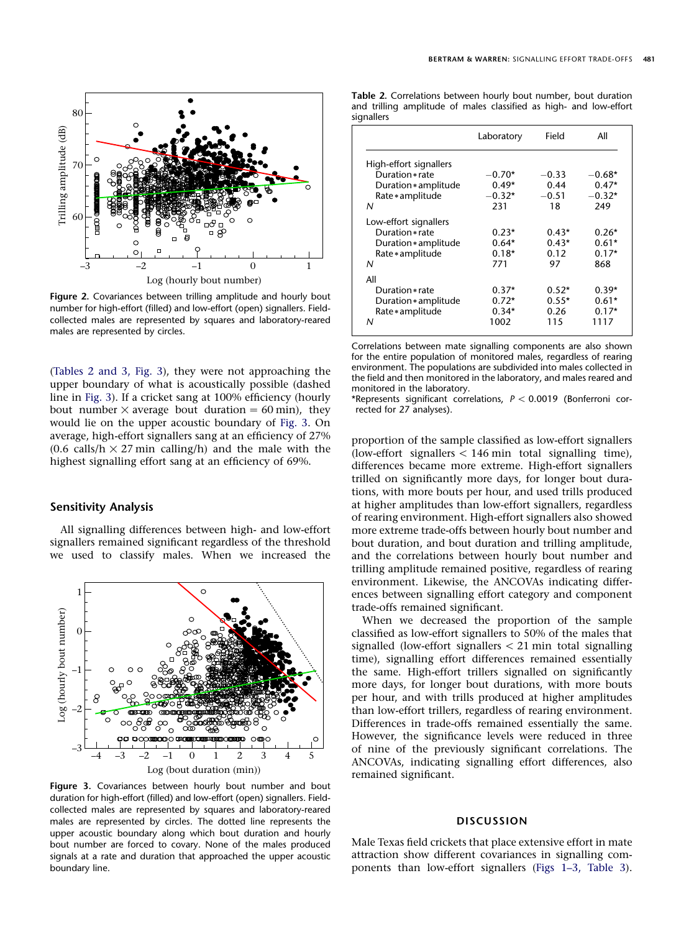<span id="page-4-0"></span>

Figure 2. Covariances between trilling amplitude and hourly bout number for high-effort (filled) and low-effort (open) signallers. Fieldcollected males are represented by squares and laboratory-reared males are represented by circles.

(Tables 2 and 3, Fig. 3), they were not approaching the upper boundary of what is acoustically possible (dashed line in Fig. 3). If a cricket sang at 100% efficiency (hourly bout number  $\times$  average bout duration = 60 min), they would lie on the upper acoustic boundary of Fig. 3. On average, high-effort signallers sang at an efficiency of 27% (0.6 calls/h  $\times$  27 min calling/h) and the male with the highest signalling effort sang at an efficiency of 69%.

# Sensitivity Analysis

All signalling differences between high- and low-effort signallers remained significant regardless of the threshold we used to classify males. When we increased the



Figure 3. Covariances between hourly bout number and bout duration for high-effort (filled) and low-effort (open) signallers. Fieldcollected males are represented by squares and laboratory-reared males are represented by circles. The dotted line represents the upper acoustic boundary along which bout duration and hourly bout number are forced to covary. None of the males produced signals at a rate and duration that approached the upper acoustic boundary line.

| Table 2. Correlations between hourly bout number, bout duration    |  |  |  |  |
|--------------------------------------------------------------------|--|--|--|--|
| and trilling amplitude of males classified as high- and low-effort |  |  |  |  |
| signallers                                                         |  |  |  |  |

|                                                                                            | Laboratory                             | Field                             | All                                    |
|--------------------------------------------------------------------------------------------|----------------------------------------|-----------------------------------|----------------------------------------|
| High-effort signallers<br>Duration * rate<br>Duration * amplitude<br>Rate * amplitude<br>Ν | $-0.70*$<br>$0.49*$<br>$-0.32*$<br>231 | $-0.33$<br>0.44<br>$-0.51$<br>18  | $-0.68*$<br>$0.47*$<br>$-0.32*$<br>249 |
| Low-effort signallers<br>Duration * rate<br>Duration * amplitude<br>Rate * amplitude<br>Ν  | $0.23*$<br>$0.64*$<br>$0.18*$<br>771   | $0.43*$<br>$0.43*$<br>0.12<br>97  | $0.26*$<br>$0.61*$<br>$0.17*$<br>868   |
| All<br>Duration * rate<br>Duration * amplitude<br>Rate * amplitude<br>Ν                    | $0.37*$<br>$0.72*$<br>$0.34*$<br>1002  | $0.52*$<br>$0.55*$<br>0.26<br>115 | $0.39*$<br>$0.61*$<br>$0.17*$<br>1117  |

Correlations between mate signalling components are also shown for the entire population of monitored males, regardless of rearing environment. The populations are subdivided into males collected in the field and then monitored in the laboratory, and males reared and monitored in the laboratory.

\*Represents significant correlations,  $P < 0.0019$  (Bonferroni corrected for 27 analyses).

proportion of the sample classified as low-effort signallers (low-effort signallers  $< 146$  min total signalling time), differences became more extreme. High-effort signallers trilled on significantly more days, for longer bout durations, with more bouts per hour, and used trills produced at higher amplitudes than low-effort signallers, regardless of rearing environment. High-effort signallers also showed more extreme trade-offs between hourly bout number and bout duration, and bout duration and trilling amplitude, and the correlations between hourly bout number and trilling amplitude remained positive, regardless of rearing environment. Likewise, the ANCOVAs indicating differences between signalling effort category and component trade-offs remained significant.

When we decreased the proportion of the sample classified as low-effort signallers to 50% of the males that signalled (low-effort signallers  $<$  21 min total signalling time), signalling effort differences remained essentially the same. High-effort trillers signalled on significantly more days, for longer bout durations, with more bouts per hour, and with trills produced at higher amplitudes than low-effort trillers, regardless of rearing environment. Differences in trade-offs remained essentially the same. However, the significance levels were reduced in three of nine of the previously significant correlations. The ANCOVAs, indicating signalling effort differences, also remained significant.

### **DISCUSSION**

Male Texas field crickets that place extensive effort in mate attraction show different covariances in signalling components than low-effort signallers ([Figs 1–3, Table 3](#page-3-0)).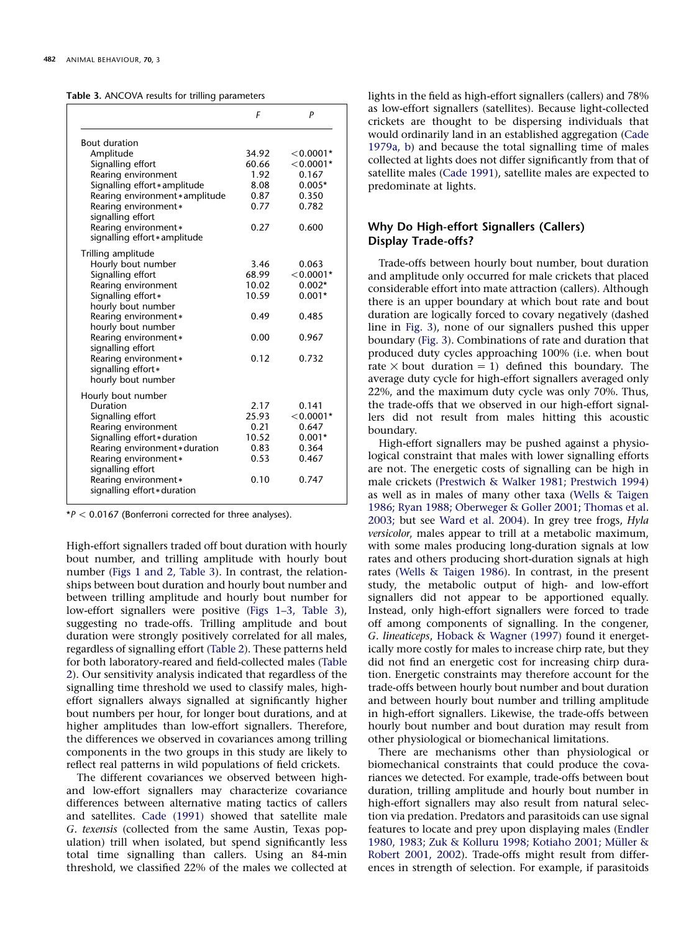<span id="page-5-0"></span>

|  |  |  |  |  |  | Table 3. ANCOVA results for trilling parameters |
|--|--|--|--|--|--|-------------------------------------------------|
|--|--|--|--|--|--|-------------------------------------------------|

|                                                       | F     | P           |
|-------------------------------------------------------|-------|-------------|
| <b>Bout duration</b>                                  |       |             |
| Amplitude                                             | 34.92 | $< 0.0001*$ |
| Signalling effort                                     | 60.66 | $< 0.0001*$ |
| Rearing environment                                   | 1.92  | 0.167       |
| Signalling effort * amplitude                         | 8.08  | $0.005*$    |
| Rearing environment * amplitude                       | 0.87  | 0.350       |
| Rearing environment*<br>signalling effort             | 0.77  | 0.782       |
| Rearing environment*<br>signalling effort * amplitude | 0.27  | 0.600       |
| Trilling amplitude                                    |       |             |
| Hourly bout number                                    | 3.46  | 0.063       |
| Signalling effort                                     | 68.99 | $< 0.0001*$ |
| Rearing environment                                   | 10.02 | $0.002*$    |
| Signalling effort*                                    | 10.59 | $0.001*$    |
| hourly bout number                                    |       |             |
| Rearing environment*                                  | 0.49  | 0.485       |
| hourly bout number                                    |       |             |
| Rearing environment*                                  | 0.00  | 0.967       |
| signalling effort                                     |       |             |
| Rearing environment*                                  | 0.12  | 0.732       |
| signalling effort*                                    |       |             |
| hourly bout number                                    |       |             |
| Hourly bout number                                    |       |             |
| Duration                                              | 2.17  | 0.141       |
| Signalling effort                                     | 25.93 | $< 0.0001*$ |
| Rearing environment                                   | 0.21  | 0.647       |
| Signalling effort * duration                          | 10.52 | $0.001*$    |
| Rearing environment * duration                        | 0.83  | 0.364       |
| Rearing environment*                                  | 0.53  | 0.467       |
| signalling effort                                     |       |             |
| Rearing environment*                                  | 0.10  | 0.747       |
| signalling effort * duration                          |       |             |

 $*P < 0.0167$  (Bonferroni corrected for three analyses).

High-effort signallers traded off bout duration with hourly bout number, and trilling amplitude with hourly bout number ([Figs 1 and 2, Table 3](#page-3-0)). In contrast, the relationships between bout duration and hourly bout number and between trilling amplitude and hourly bout number for low-effort signallers were positive [\(Figs 1–3, Table 3](#page-3-0)), suggesting no trade-offs. Trilling amplitude and bout duration were strongly positively correlated for all males, regardless of signalling effort [\(Table 2](#page-4-0)). These patterns held for both laboratory-reared and field-collected males [\(Table](#page-4-0) [2\)](#page-4-0). Our sensitivity analysis indicated that regardless of the signalling time threshold we used to classify males, higheffort signallers always signalled at significantly higher bout numbers per hour, for longer bout durations, and at higher amplitudes than low-effort signallers. Therefore, the differences we observed in covariances among trilling components in the two groups in this study are likely to reflect real patterns in wild populations of field crickets.

The different covariances we observed between highand low-effort signallers may characterize covariance differences between alternative mating tactics of callers and satellites. [Cade \(1991\)](#page-7-0) showed that satellite male G. texensis (collected from the same Austin, Texas population) trill when isolated, but spend significantly less total time signalling than callers. Using an 84-min threshold, we classified 22% of the males we collected at

lights in the field as high-effort signallers (callers) and 78% as low-effort signallers (satellites). Because light-collected crickets are thought to be dispersing individuals that would ordinarily land in an established aggregation ([Cade](#page-6-0) [1979a, b](#page-6-0)) and because the total signalling time of males collected at lights does not differ significantly from that of satellite males [\(Cade 1991](#page-7-0)), satellite males are expected to predominate at lights.

# Why Do High-effort Signallers (Callers) Display Trade-offs?

Trade-offs between hourly bout number, bout duration and amplitude only occurred for male crickets that placed considerable effort into mate attraction (callers). Although there is an upper boundary at which bout rate and bout duration are logically forced to covary negatively (dashed line in [Fig. 3](#page-4-0)), none of our signallers pushed this upper boundary [\(Fig. 3](#page-4-0)). Combinations of rate and duration that produced duty cycles approaching 100% (i.e. when bout rate  $\times$  bout duration = 1) defined this boundary. The average duty cycle for high-effort signallers averaged only 22%, and the maximum duty cycle was only 70%. Thus, the trade-offs that we observed in our high-effort signallers did not result from males hitting this acoustic boundary.

High-effort signallers may be pushed against a physiological constraint that males with lower signalling efforts are not. The energetic costs of signalling can be high in male crickets [\(Prestwich & Walker 1981; Prestwich 1994\)](#page-7-0) as well as in males of many other taxa [\(Wells & Taigen](#page-7-0) [1986; Ryan 1988; Oberweger & Goller 2001; Thomas et al.](#page-7-0) [2003;](#page-7-0) but see [Ward et al. 2004](#page-7-0)). In grey tree frogs, Hyla versicolor, males appear to trill at a metabolic maximum, with some males producing long-duration signals at low rates and others producing short-duration signals at high rates ([Wells & Taigen 1986](#page-7-0)). In contrast, in the present study, the metabolic output of high- and low-effort signallers did not appear to be apportioned equally. Instead, only high-effort signallers were forced to trade off among components of signalling. In the congener, G. lineaticeps, [Hoback & Wagner \(1997\)](#page-7-0) found it energetically more costly for males to increase chirp rate, but they did not find an energetic cost for increasing chirp duration. Energetic constraints may therefore account for the trade-offs between hourly bout number and bout duration and between hourly bout number and trilling amplitude in high-effort signallers. Likewise, the trade-offs between hourly bout number and bout duration may result from other physiological or biomechanical limitations.

There are mechanisms other than physiological or biomechanical constraints that could produce the covariances we detected. For example, trade-offs between bout duration, trilling amplitude and hourly bout number in high-effort signallers may also result from natural selection via predation. Predators and parasitoids can use signal features to locate and prey upon displaying males ([Endler](#page-7-0) 1980, 1983; Zuk & Kolluru 1998; Kotiaho 2001; Müller & [Robert 2001, 2002\)](#page-7-0). Trade-offs might result from differences in strength of selection. For example, if parasitoids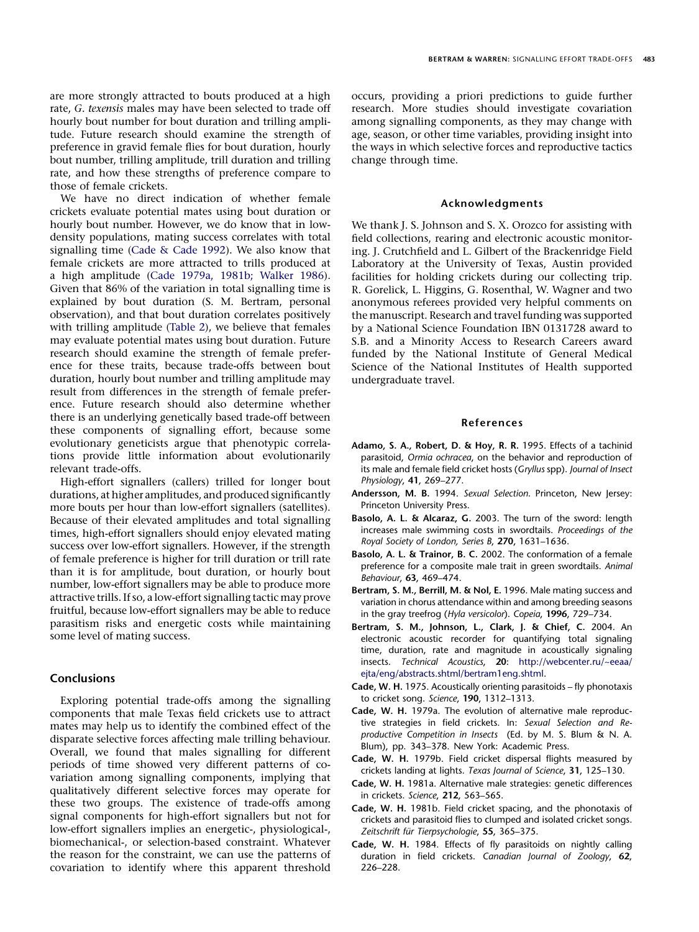<span id="page-6-0"></span>are more strongly attracted to bouts produced at a high rate, G. texensis males may have been selected to trade off hourly bout number for bout duration and trilling amplitude. Future research should examine the strength of preference in gravid female flies for bout duration, hourly bout number, trilling amplitude, trill duration and trilling rate, and how these strengths of preference compare to those of female crickets.

We have no direct indication of whether female crickets evaluate potential mates using bout duration or hourly bout number. However, we do know that in lowdensity populations, mating success correlates with total signalling time ([Cade & Cade 1992](#page-7-0)). We also know that female crickets are more attracted to trills produced at a high amplitude (Cade 1979a, 1981b; Walker 1986). Given that 86% of the variation in total signalling time is explained by bout duration (S. M. Bertram, personal observation), and that bout duration correlates positively with trilling amplitude ([Table 2\)](#page-4-0), we believe that females may evaluate potential mates using bout duration. Future research should examine the strength of female preference for these traits, because trade-offs between bout duration, hourly bout number and trilling amplitude may result from differences in the strength of female preference. Future research should also determine whether there is an underlying genetically based trade-off between these components of signalling effort, because some evolutionary geneticists argue that phenotypic correlations provide little information about evolutionarily relevant trade-offs.

High-effort signallers (callers) trilled for longer bout durations, at higher amplitudes, and produced significantly more bouts per hour than low-effort signallers (satellites). Because of their elevated amplitudes and total signalling times, high-effort signallers should enjoy elevated mating success over low-effort signallers. However, if the strength of female preference is higher for trill duration or trill rate than it is for amplitude, bout duration, or hourly bout number, low-effort signallers may be able to produce more attractive trills. If so, a low-effort signalling tactic may prove fruitful, because low-effort signallers may be able to reduce parasitism risks and energetic costs while maintaining some level of mating success.

## Conclusions

Exploring potential trade-offs among the signalling components that male Texas field crickets use to attract mates may help us to identify the combined effect of the disparate selective forces affecting male trilling behaviour. Overall, we found that males signalling for different periods of time showed very different patterns of covariation among signalling components, implying that qualitatively different selective forces may operate for these two groups. The existence of trade-offs among signal components for high-effort signallers but not for low-effort signallers implies an energetic-, physiological-, biomechanical-, or selection-based constraint. Whatever the reason for the constraint, we can use the patterns of covariation to identify where this apparent threshold

occurs, providing a priori predictions to guide further research. More studies should investigate covariation among signalling components, as they may change with age, season, or other time variables, providing insight into the ways in which selective forces and reproductive tactics change through time.

#### Acknowledgments

We thank J. S. Johnson and S. X. Orozco for assisting with field collections, rearing and electronic acoustic monitoring. J. Crutchfield and L. Gilbert of the Brackenridge Field Laboratory at the University of Texas, Austin provided facilities for holding crickets during our collecting trip. R. Gorelick, L. Higgins, G. Rosenthal, W. Wagner and two anonymous referees provided very helpful comments on the manuscript. Research and travel funding was supported by a National Science Foundation IBN 0131728 award to S.B. and a Minority Access to Research Careers award funded by the National Institute of General Medical Science of the National Institutes of Health supported undergraduate travel.

#### References

- Adamo, S. A., Robert, D. & Hoy, R. R. 1995. Effects of a tachinid parasitoid, Ormia ochracea, on the behavior and reproduction of its male and female field cricket hosts (Gryllus spp). Journal of Insect Physiology, 41, 269–277.
- Andersson, M. B. 1994. Sexual Selection. Princeton, New Jersey: Princeton University Press.
- Basolo, A. L. & Alcaraz, G. 2003. The turn of the sword: length increases male swimming costs in swordtails. Proceedings of the Royal Society of London, Series B, 270, 1631–1636.
- Basolo, A. L. & Trainor, B. C. 2002. The conformation of a female preference for a composite male trait in green swordtails. Animal Behaviour, 63, 469–474.
- Bertram, S. M., Berrill, M. & Nol, E. 1996. Male mating success and variation in chorus attendance within and among breeding seasons in the gray treefrog (Hyla versicolor). Copeia, 1996, 729–734.
- Bertram, S. M., Johnson, L., Clark, J. & Chief, C. 2004. An electronic acoustic recorder for quantifying total signaling time, duration, rate and magnitude in acoustically signaling insects. Technical Acoustics, 20: [http://webcenter.ru/~eeaa/](http://webcenter.ru/~eeaa/ejta/eng/abstracts.shtml/bertram1eng.shtml) [ejta/eng/abstracts.shtml/bertram1eng.shtml](http://webcenter.ru/~eeaa/ejta/eng/abstracts.shtml/bertram1eng.shtml).
- Cade, W. H. 1975. Acoustically orienting parasitoids fly phonotaxis to cricket song. Science, 190, 1312–1313.
- Cade, W. H. 1979a. The evolution of alternative male reproductive strategies in field crickets. In: Sexual Selection and Reproductive Competition in Insects (Ed. by M. S. Blum & N. A. Blum), pp. 343–378. New York: Academic Press.
- Cade, W. H. 1979b. Field cricket dispersal flights measured by crickets landing at lights. Texas Journal of Science, 31, 125–130.
- Cade, W. H. 1981a. Alternative male strategies: genetic differences in crickets. Science, 212, 563-565.
- Cade, W. H. 1981b. Field cricket spacing, and the phonotaxis of crickets and parasitoid flies to clumped and isolated cricket songs. Zeitschrift für Tierpsychologie, 55, 365-375.
- Cade, W. H. 1984. Effects of fly parasitoids on nightly calling duration in field crickets. Canadian Journal of Zoology, 62, 226–228.